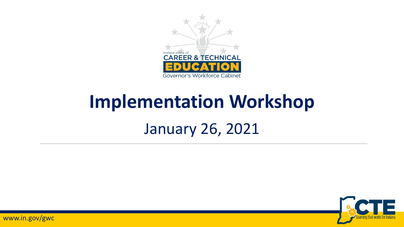

# **Implementation Workshop**

#### January 26, 2021

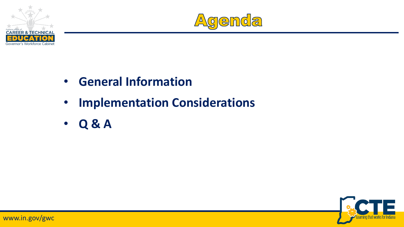



- **General Information**
- **Implementation Considerations**
- **Q & A**

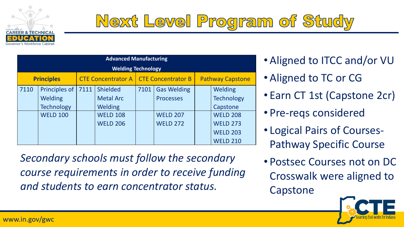

## Next Level Program of Study

| <b>Advanced Manufacturing</b> |                                                                  |                           |                                                                                      |                    |                                                                              |                         |                                                                                                                      |  |  |  |
|-------------------------------|------------------------------------------------------------------|---------------------------|--------------------------------------------------------------------------------------|--------------------|------------------------------------------------------------------------------|-------------------------|----------------------------------------------------------------------------------------------------------------------|--|--|--|
| <b>Welding Technology</b>     |                                                                  |                           |                                                                                      |                    |                                                                              |                         |                                                                                                                      |  |  |  |
| <b>Principles</b>             |                                                                  | <b>CTE Concentrator A</b> |                                                                                      | CTE Concentrator B |                                                                              | <b>Pathway Capstone</b> |                                                                                                                      |  |  |  |
| 7110                          | Principles of<br>Welding<br><b>Technology</b><br><b>WELD 100</b> | 7111                      | <b>Shielded</b><br><b>Metal Arc</b><br>Welding<br><b>WELD 108</b><br><b>WELD 206</b> | 7101               | <b>Gas Welding</b><br><b>Processes</b><br><b>WELD 207</b><br><b>WELD 272</b> |                         | Welding<br><b>Technology</b><br>Capstone<br><b>WELD 208</b><br><b>WELD 273</b><br><b>WELD 203</b><br><b>WELD 210</b> |  |  |  |

*Secondary schools must follow the secondary course requirements in order to receive funding and students to earn concentrator status.*

- Aligned to ITCC and/or VU
- Aligned to TC or CG
- Earn CT 1st (Capstone 2cr)
- Pre-reqs considered
- Logical Pairs of Courses-Pathway Specific Course
- Postsec Courses not on DC Crosswalk were aligned to Capstone

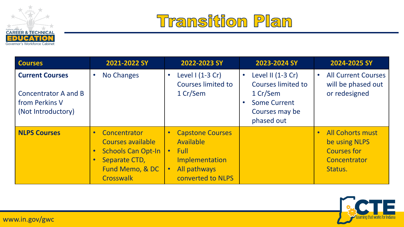



| <b>Courses</b>                                                                                | 2021-2022 SY                                                                                                                 | 2022-2023 SY                                                                                                                         | 2023-2024 SY                                                                                                                         | 2024-2025 SY                                                                                           |
|-----------------------------------------------------------------------------------------------|------------------------------------------------------------------------------------------------------------------------------|--------------------------------------------------------------------------------------------------------------------------------------|--------------------------------------------------------------------------------------------------------------------------------------|--------------------------------------------------------------------------------------------------------|
| <b>Current Courses</b><br><b>Concentrator A and B</b><br>from Perkins V<br>(Not Introductory) | No Changes                                                                                                                   | Level $1(1-3 Cr)$<br>$\bullet$<br><b>Courses limited to</b><br>1 Cr/Sem                                                              | Level II (1-3 Cr)<br>$\bullet$<br>Courses limited to<br>1 Cr/Sem<br><b>Some Current</b><br>$\bullet$<br>Courses may be<br>phased out | <b>All Current Courses</b><br>$\bullet$<br>will be phased out<br>or redesigned                         |
| <b>NLPS Courses</b>                                                                           | Concentrator<br>Courses available<br><b>Schools Can Opt-In</b><br>$\bullet$<br>Separate CTD,<br>Fund Memo, & DC<br>Crosswalk | <b>Capstone Courses</b><br>Available<br><b>Full</b><br>$\bullet$<br>Implementation<br>All pathways<br>$\bullet$<br>converted to NLPS |                                                                                                                                      | <b>All Cohorts must</b><br>$\bullet$<br>be using NLPS<br><b>Courses for</b><br>Concentrator<br>Status. |

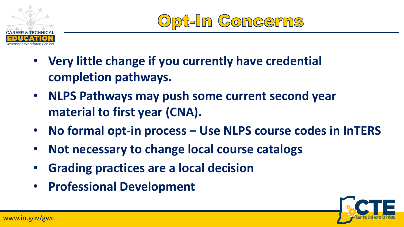

In Concerns

- **Very little change if you currently have credential completion pathways.**
- **NLPS Pathways may push some current second year material to first year (CNA).**
- **No formal opt-in process – Use NLPS course codes in InTERS**
- **Not necessary to change local course catalogs**
- **Grading practices are a local decision**
- **Professional Development**

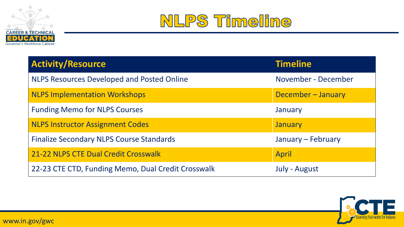



| <b>Activity/Resource</b>                           | <b>Timeline</b>     |
|----------------------------------------------------|---------------------|
| <b>NLPS Resources Developed and Posted Online</b>  | November - December |
| <b>NLPS Implementation Workshops</b>               | December - January  |
| <b>Funding Memo for NLPS Courses</b>               | January             |
| <b>NLPS Instructor Assignment Codes</b>            | January             |
| <b>Finalize Secondary NLPS Course Standards</b>    | January - February  |
| 21-22 NLPS CTE Dual Credit Crosswalk               | <b>April</b>        |
| 22-23 CTE CTD, Funding Memo, Dual Credit Crosswalk | July - August       |

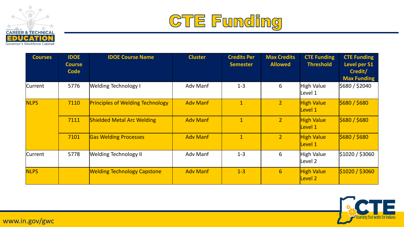



| <b>Courses</b> | <b>IDOE</b><br><b>Course</b><br><b>Code</b> | <b>IDOE Course Name</b>                 | <b>Cluster</b>  | <b>Credits Per</b><br><b>Semester</b> | <b>Max Credits</b><br><b>Allowed</b> | <b>CTE Funding</b><br><b>Threshold</b> | <b>CTE Funding</b><br><b>Level per S1</b><br>Credit/<br><b>Max Funding</b> |
|----------------|---------------------------------------------|-----------------------------------------|-----------------|---------------------------------------|--------------------------------------|----------------------------------------|----------------------------------------------------------------------------|
| <b>Current</b> | 5776                                        | Welding Technology I                    | Adv Manf        | $1 - 3$                               | 6                                    | High Value<br>Level 1                  | \$680 / \$2040                                                             |
| <b>NLPS</b>    | 7110                                        | <b>Principles of Welding Technology</b> | <b>Adv Manf</b> | $\mathbf{1}$                          | $\overline{2}$                       | <b>High Value</b><br>Level 1           | \$680 / \$680                                                              |
|                | 7111                                        | <b>Shielded Metal Arc Welding</b>       | <b>Adv Manf</b> | $\mathbf{1}$                          | $\overline{2}$                       | <b>High Value</b><br>Level 1           | \$680 / \$680                                                              |
|                | 7101                                        | <b>Gas Welding Processes</b>            | <b>Adv Manf</b> | $\mathbf{1}$                          | $\overline{2}$                       | <b>High Value</b><br>Level 1           | \$680 / \$680                                                              |
| <b>Current</b> | 5778                                        | <b>Welding Technology II</b>            | Adv Manf        | $1 - 3$                               | 6                                    | High Value<br>Level 2                  | \$1020 / \$3060                                                            |
| <b>NLPS</b>    |                                             | <b>Welding Technology Capstone</b>      | <b>Adv Manf</b> | $1 - 3$                               | $6 \overline{6}$                     | <b>High Value</b><br><b>Level 2</b>    | \$1020 / \$3060                                                            |

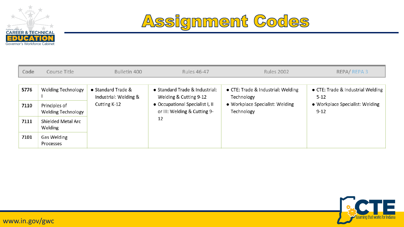



| Code | Course Title                               | Bulletin 400                                | <b>Rules 46-47</b>                                              | <b>Rules 2002</b>                                | REPA/REPA3                                    |  |
|------|--------------------------------------------|---------------------------------------------|-----------------------------------------------------------------|--------------------------------------------------|-----------------------------------------------|--|
|      |                                            |                                             |                                                                 |                                                  |                                               |  |
| 5776 | <b>Welding Technology</b>                  | • Standard Trade &<br>Industrial: Welding & | • Standard Trade & Industrial:<br>Welding & Cutting 9-12        | • CTE: Trade & Industrial: Welding<br>Technology | • CTE: Trade & Industrial Welding<br>$5 - 12$ |  |
| 7110 | Principles of<br><b>Welding Technology</b> | Cutting K-12                                | • Occupational Specialist I, II<br>or III: Welding & Cutting 9- | • Workplace Specialist: Welding<br>Technology    | • Workplace Specialist: Welding<br>$9 - 12$   |  |
| 7111 | Shielded Metal Arc<br>Welding              |                                             | 12                                                              |                                                  |                                               |  |
| 7101 | Gas Welding<br>Processes                   |                                             |                                                                 |                                                  |                                               |  |

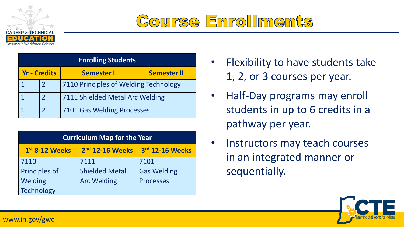

## Course Enrollments

| <b>Enrolling Students</b> |                |                                       |                    |  |  |  |  |  |
|---------------------------|----------------|---------------------------------------|--------------------|--|--|--|--|--|
| <b>Yr - Credits</b>       |                | <b>Semester I</b>                     | <b>Semester II</b> |  |  |  |  |  |
|                           | $\overline{2}$ | 7110 Principles of Welding Technology |                    |  |  |  |  |  |
|                           |                | 7111 Shielded Metal Arc Welding       |                    |  |  |  |  |  |
|                           | $\mathcal{P}$  | 7101 Gas Welding Processes            |                    |  |  |  |  |  |

| <b>Curriculum Map for the Year</b>                               |                       |                    |  |  |  |  |  |
|------------------------------------------------------------------|-----------------------|--------------------|--|--|--|--|--|
| 3rd 12-16 Weeks<br>2 <sup>nd</sup> 12-16 Weeks<br>1st 8-12 Weeks |                       |                    |  |  |  |  |  |
| 7110                                                             | 7111                  | 7101               |  |  |  |  |  |
| Principles of                                                    | <b>Shielded Metal</b> | <b>Gas Welding</b> |  |  |  |  |  |
| Welding                                                          | <b>Arc Welding</b>    | <b>Processes</b>   |  |  |  |  |  |
| Technology                                                       |                       |                    |  |  |  |  |  |

- Flexibility to have students take 1, 2, or 3 courses per year.
- Half-Day programs may enroll students in up to 6 credits in a pathway per year.
- Instructors may teach courses in an integrated manner or sequentially.

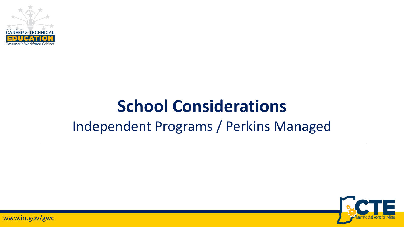

## **School Considerations** Independent Programs / Perkins Managed

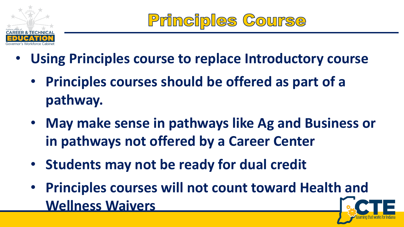

- **Using Principles course to replace Introductory course**
	- **Principles courses should be offered as part of a pathway.**
	- **May make sense in pathways like Ag and Business or in pathways not offered by a Career Center**
	- **Students may not be ready for dual credit**
	- **Principles courses will not count toward Health and Wellness Waivers**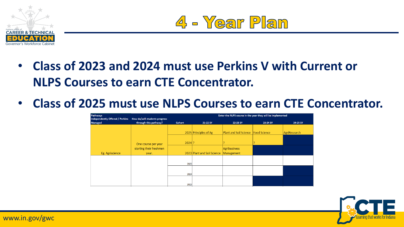



- **Class of 2023 and 2024 must use Perkins V with Current or NLPS Courses to earn CTE Concentrator.**
- **Class of 2025 must use NLPS Courses to earn CTE Concentrator.**

| Pathways<br>Independently Offered / Perkins | How do/will students progress | Enter the NLPS course in the year they will be implemented |                             |                                            |          |              |  |  |  |
|---------------------------------------------|-------------------------------|------------------------------------------------------------|-----------------------------|--------------------------------------------|----------|--------------|--|--|--|
| Managed                                     | through this pathway?         | Cohort                                                     | 21-22 SY                    | 22-23 SY                                   | 23-24 SY | 24-25 SY     |  |  |  |
|                                             |                               |                                                            |                             |                                            |          |              |  |  |  |
|                                             |                               |                                                            | 2025 Principles of Ag       | <b>Plant and Soil Science Food Science</b> |          | AgriResearch |  |  |  |
|                                             |                               |                                                            |                             |                                            |          |              |  |  |  |
|                                             | One course per year           | $2024$ ?                                                   |                             |                                            |          |              |  |  |  |
|                                             | starting their freshmen       |                                                            |                             | <b>Agribusiness</b>                        |          |              |  |  |  |
| Eg. Agriscience                             | year.                         |                                                            | 2023 Plant and Soil Science | Management                                 |          |              |  |  |  |
|                                             |                               |                                                            |                             |                                            |          |              |  |  |  |
|                                             |                               | 2025                                                       |                             |                                            |          |              |  |  |  |
|                                             |                               |                                                            |                             |                                            |          |              |  |  |  |
|                                             |                               | 2024                                                       |                             |                                            |          |              |  |  |  |
|                                             |                               |                                                            |                             |                                            |          |              |  |  |  |
|                                             |                               | 2023                                                       |                             |                                            |          |              |  |  |  |
|                                             |                               |                                                            |                             |                                            |          |              |  |  |  |

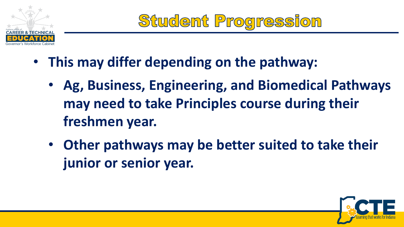

Student Progression

- **This may differ depending on the pathway:**
	- **Ag, Business, Engineering, and Biomedical Pathways may need to take Principles course during their freshmen year.**
	- **Other pathways may be better suited to take their junior or senior year.**

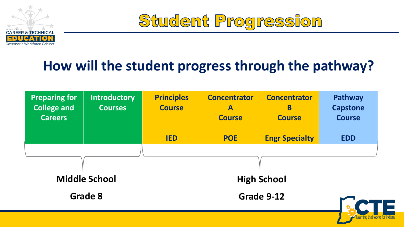

Student Progression

#### **How will the student progress through the pathway?**

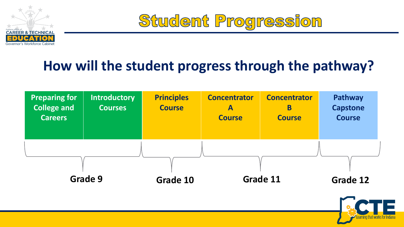

Student Progression

#### **How will the student progress through the pathway?**



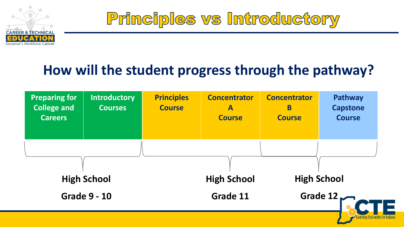

Principles vs Introductory

#### **How will the student progress through the pathway?**

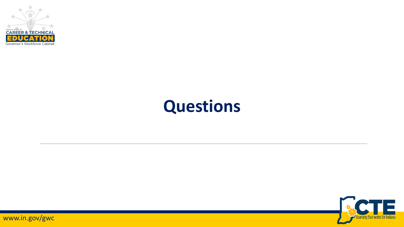

## **Questions**

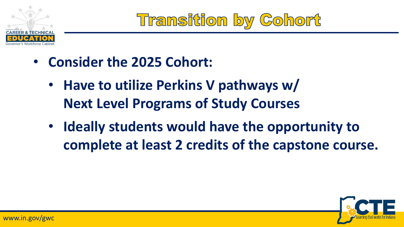

Transition by Cohort

- **Consider the 2025 Cohort:**
	- **Have to utilize Perkins V pathways w/ Next Level Programs of Study Courses**
	- **Ideally students would have the opportunity to complete at least 2 credits of the capstone course.**

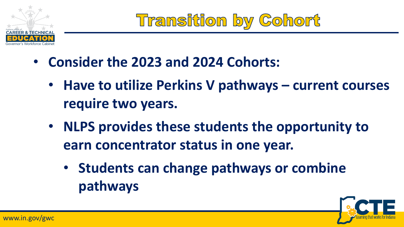

**Transition by Cohort** 

- **Consider the 2023 and 2024 Cohorts:**
	- **Have to utilize Perkins V pathways – current courses require two years.**
	- **NLPS provides these students the opportunity to earn concentrator status in one year.**
		- **Students can change pathways or combine pathways**

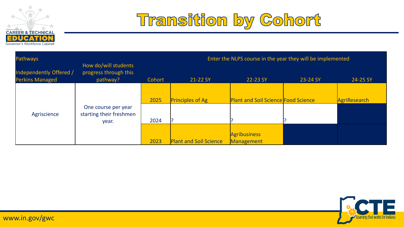



| <b>Pathways</b>                                   |                                                           | Enter the NLPS course in the year they will be implemented |                               |                                            |          |              |  |
|---------------------------------------------------|-----------------------------------------------------------|------------------------------------------------------------|-------------------------------|--------------------------------------------|----------|--------------|--|
| Independently Offered /<br><b>Perkins Managed</b> | How do/will students<br>progress through this<br>pathway? | Cohort                                                     | 21-22 SY                      | 22-23 SY                                   | 23-24 SY | 24-25 SY     |  |
|                                                   |                                                           | 2025                                                       | <b>Principles of Ag</b>       | <b>Plant and Soil Science Food Science</b> |          | AgriResearch |  |
| Agriscience                                       | One course per year<br>starting their freshmen<br>year.   | 2024                                                       |                               |                                            |          |              |  |
|                                                   |                                                           | 2023                                                       | <b>Plant and Soil Science</b> | <b>Agribusiness</b><br>Management          |          |              |  |

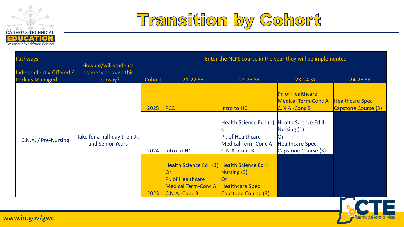



| <b>Pathways</b>                                   | Enter the NLPS course in the year they will be implemented |        |                                                                                                                   |                                                                                             |                                                                                                      |                                               |
|---------------------------------------------------|------------------------------------------------------------|--------|-------------------------------------------------------------------------------------------------------------------|---------------------------------------------------------------------------------------------|------------------------------------------------------------------------------------------------------|-----------------------------------------------|
| Independently Offered /<br><b>Perkins Managed</b> | How do/will students<br>progress through this<br>pathway?  | Cohort | 21-22 SY                                                                                                          | 22-23 SY                                                                                    | 23-24 SY                                                                                             | 24-25 SY                                      |
|                                                   |                                                            | 2025   | <b>PCC</b>                                                                                                        | Intro to HC                                                                                 | <b>Pr. of Healthcare</b><br><b>Medical Term-Conc A</b><br>C.N.A.-Conc B                              | <b>Healthcare Spec</b><br>Capstone Course (3) |
| C.N.A. / Pre-Nursing                              | Take for a half day their Jr.<br>and Senior Years          | 2024   | Intro to HC                                                                                                       | Health Science Ed I (1)<br>lor<br>Pr. of Healthcare<br>Medical Term-Conc A<br>C.N.A.-Conc B | Health Science Ed II:<br>Nursing $(1)$<br><b>Or</b><br><b>Healthcare Spec</b><br>Capstone Course (3) |                                               |
|                                                   |                                                            | 2023   | Health Science Ed I (3) Health Science Ed II:<br>Pr. of Healthcare<br><b>Medical Term-Conc A</b><br>C.N.A.-Conc B | Nursing $(3)$<br>Ior<br><b>Healthcare Spec</b><br>Capstone Course (3)                       |                                                                                                      | $\sim$ $-$                                    |

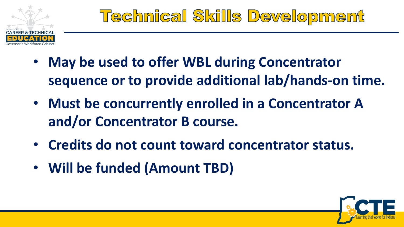

- **May be used to offer WBL during Concentrator sequence or to provide additional lab/hands-on time.**
- **Must be concurrently enrolled in a Concentrator A and/or Concentrator B course.**
- **Credits do not count toward concentrator status.**
- **Will be funded (Amount TBD)**

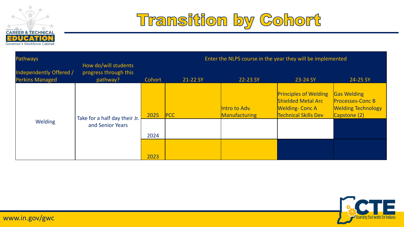



| <b>Pathways</b>                                   | How do/will students                              | Enter the NLPS course in the year they will be implemented |            |                                |                                                                                                                   |                                                                                            |  |
|---------------------------------------------------|---------------------------------------------------|------------------------------------------------------------|------------|--------------------------------|-------------------------------------------------------------------------------------------------------------------|--------------------------------------------------------------------------------------------|--|
| Independently Offered /<br><b>Perkins Managed</b> | progress through this<br>pathway?                 | Cohort                                                     | 21-22 SY   | 22-23 SY                       | 23-24 SY                                                                                                          | 24-25 SY                                                                                   |  |
|                                                   | Take for a half day their Jr.<br>and Senior Years | 2025                                                       | <b>PCC</b> | Intro to Adv.<br>Manufacturing | <b>Principles of Welding</b><br><b>Shielded Metal Arc</b><br><b>Welding-Conc A</b><br><b>Technical Skills Dev</b> | <b>Gas Welding</b><br><b>Processes-Conc B</b><br><b>Welding Technology</b><br>Capstone (2) |  |
| <b>Welding</b>                                    |                                                   | 2024                                                       |            |                                |                                                                                                                   |                                                                                            |  |
|                                                   |                                                   | 2023                                                       |            |                                |                                                                                                                   |                                                                                            |  |

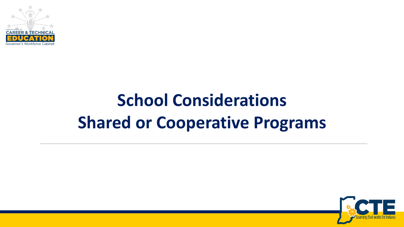

## **School Considerations Shared or Cooperative Programs**

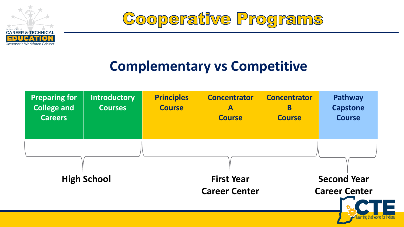

Cooperative Programs

#### **Complementary vs Competitive**

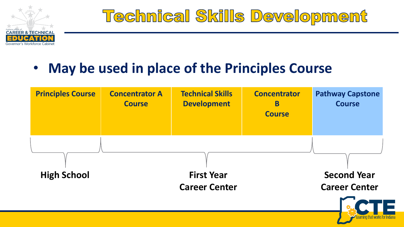

## **Technical Skills Development**

#### • **May be used in place of the Principles Course**

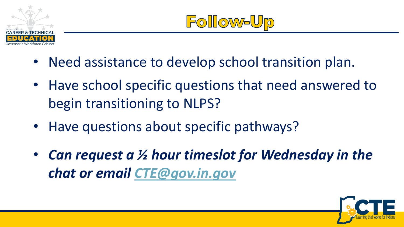

- Need assistance to develop school transition plan.
- Have school specific questions that need answered to begin transitioning to NLPS?
- Have questions about specific pathways?
- *Can request a ½ hour timeslot for Wednesday in the chat or email [CTE@gov.in.gov](mailto:CTE@gov.in.gov)*